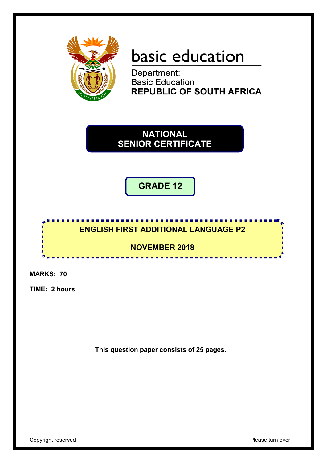

# basic education

Department: **Basic Education REPUBLIC OF SOUTH AFRICA** 

**NATIONAL SENIOR CERTIFICATE**

**GRADE 12**



**MARKS: 70**

**TIME: 2 hours**

**This question paper consists of 25 pages.**

Copyright reserved **Please** turn over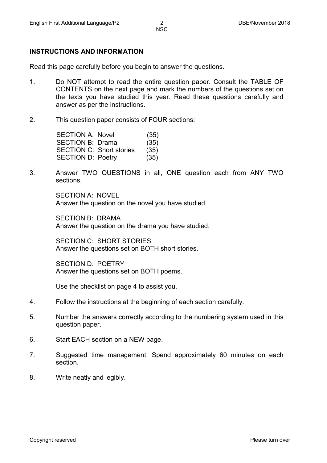#### **INSTRUCTIONS AND INFORMATION**

Read this page carefully before you begin to answer the questions.

- 1. Do NOT attempt to read the entire question paper. Consult the TABLE OF CONTENTS on the next page and mark the numbers of the questions set on the texts you have studied this year. Read these questions carefully and answer as per the instructions.
- 2. This question paper consists of FOUR sections:

| SECTION A: Novel                | (35) |
|---------------------------------|------|
| <b>SECTION B: Drama</b>         | (35) |
| <b>SECTION C: Short stories</b> | (35) |
| <b>SECTION D: Poetry</b>        | (35) |
|                                 |      |

3. Answer TWO QUESTIONS in all, ONE question each from ANY TWO sections.

> SECTION A: NOVEL Answer the question on the novel you have studied.

SECTION B: DRAMA Answer the question on the drama you have studied.

SECTION C: SHORT STORIES Answer the questions set on BOTH short stories.

SECTION D: POETRY Answer the questions set on BOTH poems.

Use the checklist on page 4 to assist you.

- 4. Follow the instructions at the beginning of each section carefully.
- 5. Number the answers correctly according to the numbering system used in this question paper.
- 6. Start EACH section on a NEW page.
- 7. Suggested time management: Spend approximately 60 minutes on each section.
- 8. Write neatly and legibly.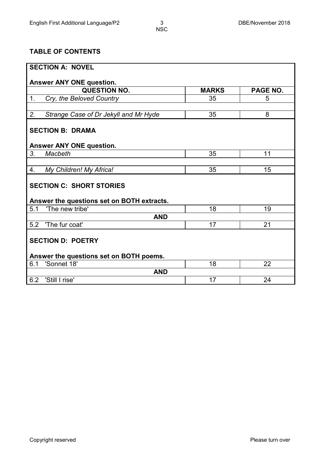# **TABLE OF CONTENTS**

| <b>SECTION A: NOVEL</b>                     |              |          |
|---------------------------------------------|--------------|----------|
| Answer ANY ONE question.                    |              |          |
| <b>QUESTION NO.</b>                         | <b>MARKS</b> | PAGE NO. |
| 1.<br>Cry, the Beloved Country              | 35           | 5        |
|                                             |              |          |
| Strange Case of Dr Jekyll and Mr Hyde<br>2. | 35           | 8        |
| <b>SECTION B: DRAMA</b>                     |              |          |
| <b>Answer ANY ONE question.</b>             |              |          |
| 3.<br>Macbeth                               | 35           | 11       |
|                                             |              |          |
| My Children! My Africa!<br>4.               | 35           | 15       |
| <b>SECTION C: SHORT STORIES</b>             |              |          |
| Answer the questions set on BOTH extracts.  |              |          |
| 'The new tribe'<br>5.1                      | 18           | 19       |
| <b>AND</b>                                  |              |          |
| 'The fur coat'<br>5.2                       | 17           | 21       |
| <b>SECTION D: POETRY</b>                    |              |          |
| Answer the questions set on BOTH poems.     |              |          |
| 'Sonnet 18'<br>6.1                          | 18           | 22       |
| <b>AND</b>                                  |              |          |
| 6.2<br>'Still I rise'                       | 17           | 24       |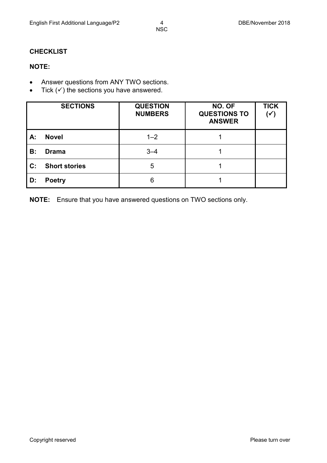## **CHECKLIST**

# **NOTE:**

- Answer questions from ANY TWO sections.
- Tick  $(v)$  the sections you have answered.

|                | <b>SECTIONS</b>      | <b>QUESTION</b><br><b>NUMBERS</b> | NO. OF<br><b>QUESTIONS TO</b><br><b>ANSWER</b> | <b>TICK</b><br>$(\checkmark)$ |
|----------------|----------------------|-----------------------------------|------------------------------------------------|-------------------------------|
| A:             | <b>Novel</b>         | $1 - 2$                           |                                                |                               |
| B:             | <b>Drama</b>         | $3 - 4$                           |                                                |                               |
| $\mathbf{C}$ : | <b>Short stories</b> | 5                                 |                                                |                               |
| D:             | <b>Poetry</b>        | 6                                 |                                                |                               |

**NOTE:** Ensure that you have answered questions on TWO sections only.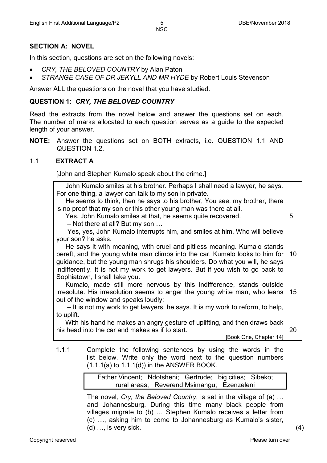#### **SECTION A: NOVEL**

In this section, questions are set on the following novels:

- *CRY, THE BELOVED COUNTRY* by Alan Paton
- *STRANGE CASE OF DR JEKYLL AND MR HYDE* by Robert Louis Stevenson

Answer ALL the questions on the novel that you have studied.

#### **QUESTION 1:** *CRY, THE BELOVED COUNTRY*

Read the extracts from the novel below and answer the questions set on each. The number of marks allocated to each question serves as a guide to the expected length of your answer.

**NOTE:** Answer the questions set on BOTH extracts, i.e. QUESTION 1.1 AND QUESTION 1.2.

#### 1.1 **EXTRACT A**

[John and Stephen Kumalo speak about the crime.]

 John Kumalo smiles at his brother. Perhaps I shall need a lawyer, he says. For one thing, a lawyer can talk to my son in private.

 He seems to think, then he says to his brother, You see, my brother, there is no proof that my son or this other young man was there at all.

Yes, John Kumalo smiles at that, he seems quite recovered.

5

20

– Not there at all? But my son …

 Yes, yes, John Kumalo interrupts him, and smiles at him. Who will believe your son? he asks.

 He says it with meaning, with cruel and pitiless meaning. Kumalo stands bereft, and the young white man climbs into the car. Kumalo looks to him for 10 guidance, but the young man shrugs his shoulders. Do what you will, he says indifferently. It is not my work to get lawyers. But if you wish to go back to Sophiatown, I shall take you.

 Kumalo, made still more nervous by this indifference, stands outside irresolute. His irresolution seems to anger the young white man, who leans 15 out of the window and speaks loudly:

 – It is not my work to get lawyers, he says. It is my work to reform, to help, to uplift.

 With his hand he makes an angry gesture of uplifting, and then draws back his head into the car and makes as if to start.<br>[Book One, Chapter 14]

1.1.1 Complete the following sentences by using the words in the list below. Write only the word next to the question numbers  $(1.1.1(a)$  to  $1.1.1(d)$ ) in the ANSWER BOOK.

> Father Vincent; Ndotsheni; Gertrude; big cities; Sibeko; rural areas; Reverend Msimangu; Ezenzeleni

The novel*, Cry, the Beloved Country*, is set in the village of (a) … and Johannesburg. During this time many black people from villages migrate to (b) … Stephen Kumalo receives a letter from (c) …, asking him to come to Johannesburg as Kumalo's sister, (d) …, is very sick.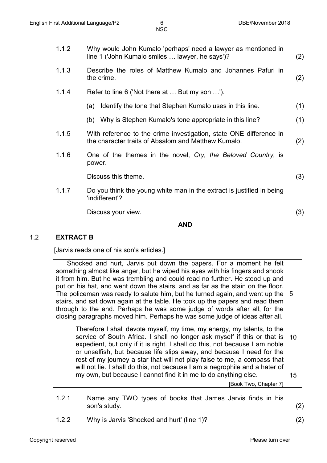| 1.1.2 | Why would John Kumalo 'perhaps' need a lawyer as mentioned in<br>line 1 ('John Kumalo smiles  lawyer, he says')?          | (2) |
|-------|---------------------------------------------------------------------------------------------------------------------------|-----|
| 1.1.3 | Describe the roles of Matthew Kumalo and Johannes Pafuri in<br>the crime.                                                 | (2) |
| 1.1.4 | Refer to line 6 ('Not there at  But my son ').                                                                            |     |
|       | Identify the tone that Stephen Kumalo uses in this line.<br>(a)                                                           | (1) |
|       | (b) Why is Stephen Kumalo's tone appropriate in this line?                                                                | (1) |
| 1.1.5 | With reference to the crime investigation, state ONE difference in<br>the character traits of Absalom and Matthew Kumalo. | (2) |
| 1.1.6 | One of the themes in the novel, Cry, the Beloved Country, is<br>power.                                                    |     |
|       | Discuss this theme.                                                                                                       | (3) |
| 1.1.7 | Do you think the young white man in the extract is justified in being<br>'indifferent'?                                   |     |
|       | Discuss your view.                                                                                                        | (3) |
|       |                                                                                                                           |     |

#### **AND**

#### 1.2 **EXTRACT B**

[Jarvis reads one of his son's articles.]

 Shocked and hurt, Jarvis put down the papers. For a moment he felt something almost like anger, but he wiped his eyes with his fingers and shook it from him. But he was trembling and could read no further. He stood up and put on his hat, and went down the stairs, and as far as the stain on the floor. The policeman was ready to salute him, but he turned again, and went up the 5 stairs, and sat down again at the table. He took up the papers and read them through to the end. Perhaps he was some judge of words after all, for the closing paragraphs moved him. Perhaps he was some judge of ideas after all.

Therefore I shall devote myself, my time, my energy, my talents, to the service of South Africa. I shall no longer ask myself if this or that is 10 expedient, but only if it is right. I shall do this, not because I am noble or unselfish, but because life slips away, and because I need for the rest of my journey a star that will not play false to me, a compass that will not lie. I shall do this, not because I am a negrophile and a hater of my own, but because I cannot find it in me to do anything else. 15

[Book Two, Chapter 7]

- 1.2.1 Name any TWO types of books that James Jarvis finds in his son's study. (2)
- 1.2.2 Why is Jarvis 'Shocked and hurt' (line 1)? (2)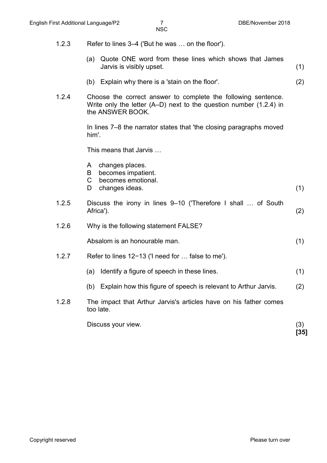- 1.2.3 Refer to lines 3–4 ('But he was … on the floor').
	- (a) Quote ONE word from these lines which shows that James Jarvis is visibly upset. (1)
	- (b) Explain why there is a 'stain on the floor'. (2)
- 1.2.4 Choose the correct answer to complete the following sentence. Write only the letter (A–D) next to the question number (1.2.4) in the ANSWER BOOK.

In lines 7–8 the narrator states that 'the closing paragraphs moved him'.

This means that Jarvis …

- A changes places.
- B becomes impatient.
- C becomes emotional.<br>D changes ideas.
- changes ideas. (1)
- 1.2.5 Discuss the irony in lines 9–10 ('Therefore I shall … of South Africa'). (2)
- 1.2.6 Why is the following statement FALSE?

Absalom is an honourable man. (1)

- 1.2.7 Refer to lines 12−13 ('I need for … false to me').
	- (a) Identify a figure of speech in these lines. (1)
	- (b) Explain how this figure of speech is relevant to Arthur Jarvis. (2)
- 1.2.8 The impact that Arthur Jarvis's articles have on his father comes too late.

Discuss your view. (3) **[35]**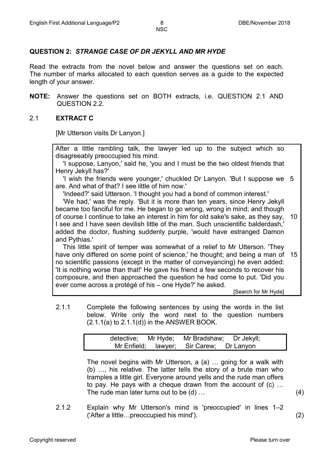# **QUESTION 2:** *STRANGE CASE OF DR JEKYLL AND MR HYDE*

Read the extracts from the novel below and answer the questions set on each. The number of marks allocated to each question serves as a guide to the expected length of your answer.

**NOTE:** Answer the questions set on BOTH extracts, i.e. QUESTION 2.1 AND QUESTION 2.2.

## 2.1 **EXTRACT C**

[Mr Utterson visits Dr Lanyon.]

After a little rambling talk, the lawyer led up to the subject which so disagreeably preoccupied his mind.

 'I suppose, Lanyon,' said he, 'you and I must be the two oldest friends that Henry Jekyll has?'

 'I wish the friends were younger,' chuckled Dr Lanyon. 'But I suppose we 5 are. And what of that? I see little of him now.'

'Indeed?' said Utterson. 'I thought you had a bond of common interest.'

 'We had,' was the reply. 'But it is more than ten years, since Henry Jekyll became too fanciful for me. He began to go wrong, wrong in mind; and though of course I continue to take an interest in him for old sake's sake, as they say, I see and I have seen devilish little of the man. Such unscientific balderdash,' added the doctor, flushing suddenly purple, 'would have estranged Damon and Pythias.' 10

 This little spirit of temper was somewhat of a relief to Mr Utterson. 'They have only differed on some point of science,' he thought; and being a man of 15 no scientific passions (except in the matter of conveyancing) he even added: 'It is nothing worse than that!' He gave his friend a few seconds to recover his composure, and then approached the question he had come to put. 'Did you ever come across a protégé of his – one Hyde?' he asked.

[Search for Mr Hyde]

2.1.1 Complete the following sentences by using the words in the list below. Write only the word next to the question numbers  $(2.1.1(a)$  to  $2.1.1(d)$ ) in the ANSWER BOOK.

|  | detective; Mr Hyde; Mr Bradshaw; Dr Jekyll; |  |
|--|---------------------------------------------|--|
|  | Mr Enfield; lawyer; Sir Carew; Dr Lanyon    |  |

The novel begins with Mr Utterson, a (a) … going for a walk with (b) …, his relative. The latter tells the story of a brute man who tramples a little girl. Everyone around yells and the rude man offers to pay. He pays with a cheque drawn from the account of (c) … The rude man later turns out to be (d) …

2.1.2 Explain why Mr Utterson's mind is 'preoccupied' in lines 1–2 ('After a little…preoccupied his mind'). (2)

(4)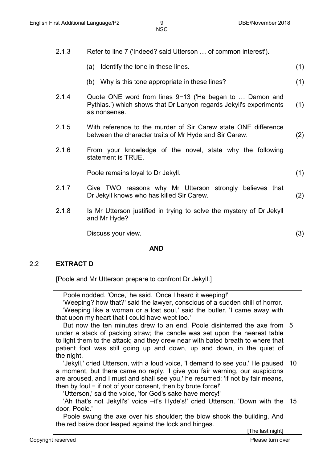- 2.1.3 Refer to line 7 ('Indeed? said Utterson … of common interest').
	- (a) Identify the tone in these lines. (1)
	- (b) Why is this tone appropriate in these lines? (1)
- 2.1.4 Quote ONE word from lines 9−13 ('He began to … Damon and Pythias.') which shows that Dr Lanyon regards Jekyll's experiments as nonsense. (1)
- 2.1.5 With reference to the murder of Sir Carew state ONE difference between the character traits of Mr Hyde and Sir Carew. (2)
- 2.1.6 From your knowledge of the novel, state why the following statement is TRUE.

Poole remains loyal to Dr Jekyll. (1)

- 2.1.7 Give TWO reasons why Mr Utterson strongly believes that Dr Jekyll knows who has killed Sir Carew. (2)
- 2.1.8 Is Mr Utterson justified in trying to solve the mystery of Dr Jekyll and Mr Hyde?

Discuss your view. (3)

#### **AND**

#### 2.2 **EXTRACT D**

[Poole and Mr Utterson prepare to confront Dr Jekyll.]

 Poole nodded. 'Once,' he said. 'Once I heard it weeping!' 'Weeping? how that?' said the lawyer, conscious of a sudden chill of horror. 'Weeping like a woman or a lost soul,' said the butler. 'I came away with that upon my heart that I could have wept too.'

 But now the ten minutes drew to an end. Poole disinterred the axe from 5 under a stack of packing straw; the candle was set upon the nearest table to light them to the attack; and they drew near with bated breath to where that patient foot was still going up and down, up and down, in the quiet of the night.

 'Jekyll,' cried Utterson, with a loud voice, 'I demand to see you.' He paused 10 a moment, but there came no reply. 'I give you fair warning, our suspicions are aroused, and I must and shall see you,' he resumed; 'if not by fair means, then by foul − if not of your consent, then by brute force!'

'Utterson,' said the voice, 'for God's sake have mercy!'

 'Ah that's not Jekyll's' voice –it's Hyde's!' cried Utterson. 'Down with the 15door, Poole.'

 Poole swung the axe over his shoulder; the blow shook the building, And the red baize door leaped against the lock and hinges.

[The last night]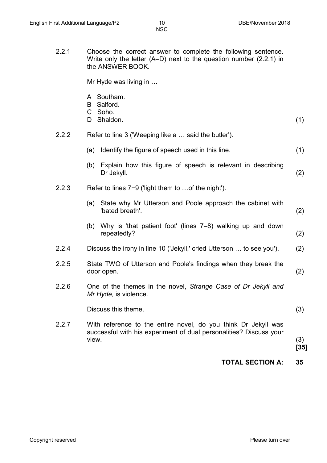2.2.1 Choose the correct answer to complete the following sentence. Write only the letter (A–D) next to the question number (2.2.1) in the ANSWER BOOK.

Mr Hyde was living in …

- A Southam.
- B Salford.
- C Soho.
- D Shaldon. (1)
- 2.2.2 Refer to line 3 ('Weeping like a … said the butler').
	- (a) Identify the figure of speech used in this line. (1)
	- (b) Explain how this figure of speech is relevant in describing Dr Jekyll. (2)
- 2.2.3 Refer to lines 7−9 ('light them to …of the night').
	- (a) State why Mr Utterson and Poole approach the cabinet with 'bated breath'. (2)
	- (b) Why is 'that patient foot' (lines 7–8) walking up and down repeatedly? (2)
- 2.2.4 Discuss the irony in line 10 ('Jekyll,' cried Utterson … to see you'). (2)
- 2.2.5 State TWO of Utterson and Poole's findings when they break the door open. (2)
- 2.2.6 One of the themes in the novel, *Strange Case of Dr Jekyll and Mr Hyde,* is violence.

Discuss this theme. (3)

2.2.7 With reference to the entire novel, do you think Dr Jekyll was successful with his experiment of dual personalities? Discuss your view. (3)

**[35]**

**TOTAL SECTION A: 35**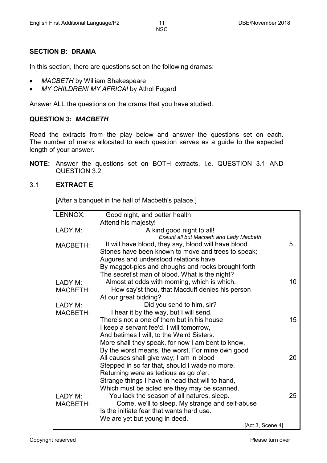## **SECTION B: DRAMA**

In this section, there are questions set on the following dramas:

- *MACBETH* by William Shakespeare
- *MY CHILDREN! MY AFRICA!* by Athol Fugard

Answer ALL the questions on the drama that you have studied.

#### **QUESTION 3:** *MACBETH*

Read the extracts from the play below and answer the questions set on each. The number of marks allocated to each question serves as a guide to the expected length of your answer.

**NOTE:** Answer the questions set on BOTH extracts, i.e. QUESTION 3.1 AND QUESTION 3.2.

## 3.1 **EXTRACT E**

[After a banquet in the hall of Macbeth's palace.]

| LENNOX:         | Good night, and better health                        |    |
|-----------------|------------------------------------------------------|----|
|                 | Attend his majesty!                                  |    |
| LADY M:         | A kind good night to all!                            |    |
|                 | Exeunt all but Macbeth and Lady Macbeth.             |    |
| <b>MACBETH:</b> | It will have blood, they say, blood will have blood. | 5  |
|                 | Stones have been known to move and trees to speak;   |    |
|                 | Augures and understood relations have                |    |
|                 | By maggot-pies and choughs and rooks brought forth   |    |
|                 | The secret'st man of blood. What is the night?       |    |
| LADY M:         | Almost at odds with morning, which is which.         | 10 |
| <b>MACBETH:</b> | How say'st thou, that Macduff denies his person      |    |
|                 | At our great bidding?                                |    |
| LADY M:         | Did you send to him, sir?                            |    |
| <b>MACBETH:</b> | I hear it by the way, but I will send.               |    |
|                 | There's not a one of them but in his house           | 15 |
|                 | I keep a servant fee'd. I will tomorrow,             |    |
|                 | And betimes I will, to the Weird Sisters.            |    |
|                 | More shall they speak, for now I am bent to know,    |    |
|                 | By the worst means, the worst. For mine own good     |    |
|                 | All causes shall give way; I am in blood             | 20 |
|                 | Stepped in so far that, should I wade no more,       |    |
|                 | Returning were as tedious as go o'er.                |    |
|                 | Strange things I have in head that will to hand,     |    |
|                 | Which must be acted ere they may be scanned.         |    |
| <b>LADY M:</b>  | You lack the season of all natures, sleep.           | 25 |
| <b>MACBETH:</b> | Come, we'll to sleep. My strange and self-abuse      |    |
|                 | Is the initiate fear that wants hard use.            |    |
|                 | We are yet but young in deed.                        |    |
|                 | [Act 3, Scene 4]                                     |    |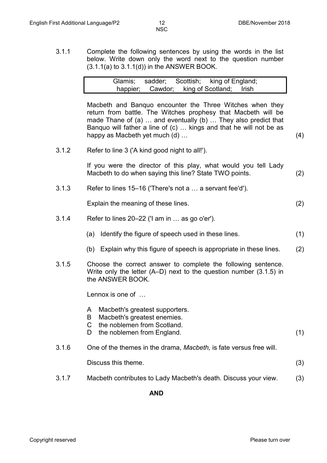3.1.1 Complete the following sentences by using the words in the list below. Write down only the word next to the question number  $(3.1.1(a)$  to  $3.1.1(d)$  in the ANSWER BOOK.

|  |  | Glamis; sadder; Scottish; king of England; |  |
|--|--|--------------------------------------------|--|
|  |  | happier; Cawdor; king of Scotland; Irish   |  |

Macbeth and Banquo encounter the Three Witches when they return from battle. The Witches prophesy that Macbeth will be made Thane of (a) … and eventually (b) … They also predict that Banquo will father a line of (c) … kings and that he will not be as happy as Macbeth yet much (d) … (4)

3.1.2 Refer to line 3 ('A kind good night to all!').

If you were the director of this play, what would you tell Lady Macbeth to do when saying this line? State TWO points. (2)

3.1.3 Refer to lines 15–16 ('There's not a … a servant fee'd').

Explain the meaning of these lines. (2)

- 3.1.4 Refer to lines 20–22 ('I am in … as go o'er').
	- (a) Identify the figure of speech used in these lines. (1)
	- (b) Explain why this figure of speech is appropriate in these lines. (2)
- 3.1.5 Choose the correct answer to complete the following sentence. Write only the letter (A–D) next to the question number (3.1.5) in the ANSWER BOOK.

Lennox is one of …

- A Macbeth's greatest supporters.
- B Macbeth's greatest enemies.
- $\mathsf{C}$ the noblemen from Scotland.
- D the noblemen from England. (1)
- 3.1.6 One of the themes in the drama, *Macbeth,* is fate versus free will.

Discuss this theme. (3)

3.1.7 Macbeth contributes to Lady Macbeth's death. Discuss your view. (3)

**AND**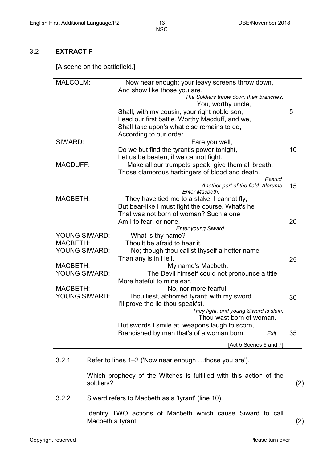## 3.2 **EXTRACT F**

[A scene on the battlefield.]

| MALCOLM:             | Now near enough; your leavy screens throw down,                                            |    |
|----------------------|--------------------------------------------------------------------------------------------|----|
|                      | And show like those you are.                                                               |    |
|                      | The Soldiers throw down their branches.                                                    |    |
|                      | You, worthy uncle,                                                                         |    |
|                      | Shall, with my cousin, your right noble son,                                               | 5  |
|                      | Lead our first battle. Worthy Macduff, and we,                                             |    |
|                      | Shall take upon's what else remains to do,                                                 |    |
|                      | According to our order.                                                                    |    |
| SIWARD:              | Fare you well,                                                                             |    |
|                      | Do we but find the tyrant's power tonight,                                                 | 10 |
|                      | Let us be beaten, if we cannot fight.                                                      |    |
| <b>MACDUFF:</b>      | Make all our trumpets speak; give them all breath,                                         |    |
|                      | Those clamorous harbingers of blood and death.                                             |    |
|                      | Exeunt.                                                                                    |    |
|                      | Another part of the field. Alarums.                                                        | 15 |
| <b>MACBETH:</b>      | Enter Macbeth.<br>They have tied me to a stake; I cannot fly,                              |    |
|                      |                                                                                            |    |
|                      | But bear-like I must fight the course. What's he<br>That was not born of woman? Such a one |    |
|                      |                                                                                            | 20 |
|                      | Am I to fear, or none.<br>Enter young Siward.                                              |    |
| YOUNG SIWARD:        | What is thy name?                                                                          |    |
| <b>MACBETH:</b>      | Thou'lt be afraid to hear it.                                                              |    |
| YOUNG SIWARD:        | No; though thou call'st thyself a hotter name                                              |    |
|                      | Than any is in Hell.                                                                       | 25 |
| <b>MACBETH:</b>      | My name's Macbeth.                                                                         |    |
| YOUNG SIWARD:        | The Devil himself could not pronounce a title                                              |    |
|                      | More hateful to mine ear.                                                                  |    |
| <b>MACBETH:</b>      | No, nor more fearful.                                                                      |    |
| <b>YOUNG SIWARD:</b> | Thou liest, abhorrèd tyrant; with my sword                                                 | 30 |
|                      | I'll prove the lie thou speak'st.                                                          |    |
|                      | They fight, and young Siward is slain.                                                     |    |
|                      | Thou wast born of woman.                                                                   |    |
|                      | But swords I smile at, weapons laugh to scorn,                                             |    |
|                      | Brandished by man that's of a woman born.<br>Exit.                                         | 35 |
|                      | [Act 5 Scenes 6 and 7]                                                                     |    |
|                      |                                                                                            |    |

#### 3.2.1 Refer to lines 1–2 ('Now near enough …those you are').

Which prophecy of the Witches is fulfilled with this action of the soldiers? (2)

3.2.2 Siward refers to Macbeth as a 'tyrant' (line 10).

Identify TWO actions of Macbeth which cause Siward to call Macbeth a tyrant. (2)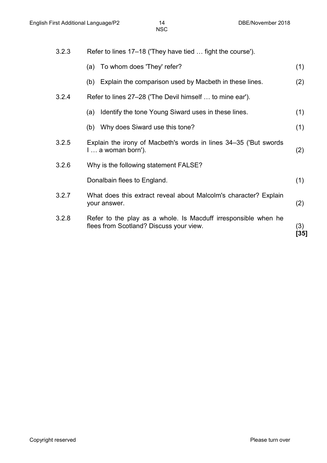| 3.2.3 | Refer to lines 17–18 ('They have tied  fight the course').                                                |             |
|-------|-----------------------------------------------------------------------------------------------------------|-------------|
|       | (a) To whom does 'They' refer?                                                                            | (1)         |
|       | (b) Explain the comparison used by Macbeth in these lines.                                                | (2)         |
| 3.2.4 | Refer to lines 27–28 ('The Devil himself  to mine ear').                                                  |             |
|       | Identify the tone Young Siward uses in these lines.<br>(a)                                                | (1)         |
|       | (b) Why does Siward use this tone?                                                                        | (1)         |
| 3.2.5 | Explain the irony of Macbeth's words in lines 34-35 ('But swords<br>$l a$ woman born').                   | (2)         |
| 3.2.6 | Why is the following statement FALSE?                                                                     |             |
|       | Donalbain flees to England.                                                                               | (1)         |
| 3.2.7 | What does this extract reveal about Malcolm's character? Explain<br>your answer.                          | (2)         |
| 3.2.8 | Refer to the play as a whole. Is Macduff irresponsible when he<br>flees from Scotland? Discuss your view. | (3)<br>[35] |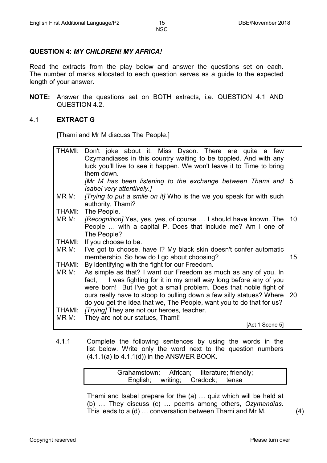## **QUESTION 4:** *MY CHILDREN! MY AFRICA!*

Read the extracts from the play below and answer the questions set on each. The number of marks allocated to each question serves as a guide to the expected length of your answer.

**NOTE:** Answer the questions set on BOTH extracts, i.e. QUESTION 4.1 AND QUESTION 4.2.

#### 4.1 **EXTRACT G**

[Thami and Mr M discuss The People.]

|        | THAMI: Don't joke about it, Miss Dyson. There are quite a few             |    |
|--------|---------------------------------------------------------------------------|----|
|        | Ozymandiases in this country waiting to be toppled. And with any          |    |
|        | luck you'll live to see it happen. We won't leave it to Time to bring     |    |
|        | them down.                                                                |    |
|        | [Mr M has been listening to the exchange between Thami and 5              |    |
|        | Isabel very attentively.]                                                 |    |
| MR M:  | <i>Trying to put a smile on it]</i> Who is the we you speak for with such |    |
|        | authority, Thami?                                                         |    |
| THAMI: | The People.                                                               |    |
| MR M:  | [Recognition] Yes, yes, yes, of course  I should have known. The 10       |    |
|        | People  with a capital P. Does that include me? Am I one of               |    |
|        | The People?                                                               |    |
| THAMI: | If you choose to be.                                                      |    |
| MR M:  | I've got to choose, have I? My black skin doesn't confer automatic        |    |
|        | membership. So how do I go about choosing?                                | 15 |
| THAMI: | By identifying with the fight for our Freedom.                            |    |
| MR M:  | As simple as that? I want our Freedom as much as any of you. In           |    |
|        | fact, I was fighting for it in my small way long before any of you        |    |
|        | were born! But I've got a small problem. Does that noble fight of         |    |
|        | ours really have to stoop to pulling down a few silly statues? Where 20   |    |
|        | do you get the idea that we, The People, want you to do that for us?      |    |
| THAMI: | [Trying] They are not our heroes, teacher.                                |    |
| MR M:  | They are not our statues, Thami!                                          |    |
|        | [Act 1 Scene 5]                                                           |    |

4.1.1 Complete the following sentences by using the words in the list below. Write only the word next to the question numbers  $(4.1.1(a)$  to  $4.1.1(d)$  in the ANSWER BOOK.

| Grahamstown; African; literature; friendly; |                                  |  |
|---------------------------------------------|----------------------------------|--|
|                                             | English; writing; Cradock; tense |  |

Thami and Isabel prepare for the (a) … quiz which will be held at (b) … They discuss (c) … poems among others, *Ozymandias*. This leads to a (d) … conversation between Thami and Mr M.

(4)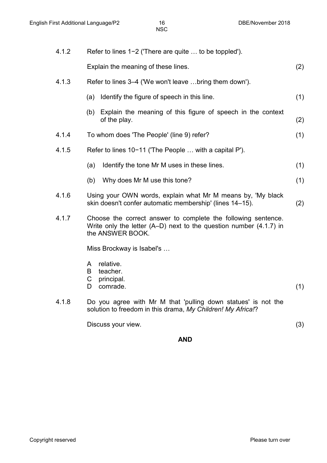| 4.1.2 | Refer to lines 1-2 ('There are quite  to be toppled').                                                                                                      |     |
|-------|-------------------------------------------------------------------------------------------------------------------------------------------------------------|-----|
|       | Explain the meaning of these lines.                                                                                                                         | (2) |
| 4.1.3 | Refer to lines 3-4 ('We won't leave bring them down').                                                                                                      |     |
|       | Identify the figure of speech in this line.<br>(a)                                                                                                          | (1) |
|       | (b) Explain the meaning of this figure of speech in the context<br>of the play.                                                                             | (2) |
| 4.1.4 | To whom does 'The People' (line 9) refer?                                                                                                                   | (1) |
| 4.1.5 | Refer to lines 10-11 ('The People  with a capital P').                                                                                                      |     |
|       | Identify the tone Mr M uses in these lines.<br>(a)                                                                                                          | (1) |
|       | Why does Mr M use this tone?<br>(b)                                                                                                                         | (1) |
| 4.1.6 | Using your OWN words, explain what Mr M means by, 'My black<br>skin doesn't confer automatic membership' (lines 14-15).                                     | (2) |
| 4.1.7 | Choose the correct answer to complete the following sentence.<br>Write only the letter $(A-D)$ next to the question number $(4.1.7)$ in<br>the ANSWER BOOK. |     |
|       | Miss Brockway is Isabel's                                                                                                                                   |     |
|       | relative.<br>A<br>teacher.<br>B<br>C<br>principal.<br>comrade.<br>D                                                                                         | (1) |
| 4.1.8 | Do you agree with Mr M that 'pulling down statues' is not the<br>solution to freedom in this drama, My Children! My Africa!?                                |     |
|       | Discuss your view.                                                                                                                                          | (3) |

## **AND**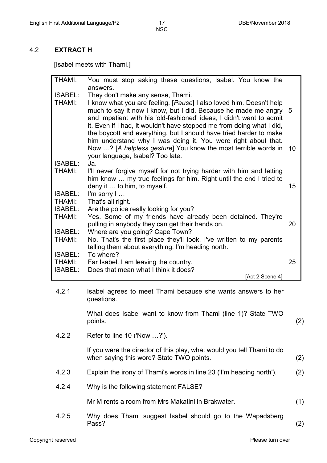## 4.2 **EXTRACT H**

[Isabel meets with Thami.]

| THAMI:         | You must stop asking these questions, Isabel. You know the                                                                                                                                                                                                                                                                                                   |    |
|----------------|--------------------------------------------------------------------------------------------------------------------------------------------------------------------------------------------------------------------------------------------------------------------------------------------------------------------------------------------------------------|----|
|                | answers.                                                                                                                                                                                                                                                                                                                                                     |    |
| <b>ISABEL:</b> | They don't make any sense, Thami.                                                                                                                                                                                                                                                                                                                            |    |
| <b>THAMI:</b>  | I know what you are feeling. [Pause] I also loved him. Doesn't help<br>much to say it now I know, but I did. Because he made me angry<br>and impatient with his 'old-fashioned' ideas, I didn't want to admit<br>it. Even if I had, it wouldn't have stopped me from doing what I did,<br>the boycott and everything, but I should have tried harder to make | 5  |
|                | him understand why I was doing it. You were right about that.<br>Now ? [A helpless gesture] You know the most terrible words in<br>your language, Isabel? Too late.                                                                                                                                                                                          | 10 |
| <b>ISABEL:</b> | Ja.                                                                                                                                                                                                                                                                                                                                                          |    |
| <b>THAMI:</b>  | I'll never forgive myself for not trying harder with him and letting<br>him know  my true feelings for him. Right until the end I tried to<br>deny it  to him, to myself.                                                                                                                                                                                    | 15 |
| <b>ISABEL:</b> |                                                                                                                                                                                                                                                                                                                                                              |    |
|                | I'm sorry I                                                                                                                                                                                                                                                                                                                                                  |    |
| <b>THAMI:</b>  | That's all right.                                                                                                                                                                                                                                                                                                                                            |    |
| ISABEL:        | Are the police really looking for you?                                                                                                                                                                                                                                                                                                                       |    |
| <b>THAMI:</b>  | Yes. Some of my friends have already been detained. They're                                                                                                                                                                                                                                                                                                  |    |
|                | pulling in anybody they can get their hands on.                                                                                                                                                                                                                                                                                                              | 20 |
| <b>ISABEL:</b> | Where are you going? Cape Town?                                                                                                                                                                                                                                                                                                                              |    |
| THAMI:         | No. That's the first place they'll look. I've written to my parents<br>telling them about everything. I'm heading north.                                                                                                                                                                                                                                     |    |
| ISABEL:        | To where?                                                                                                                                                                                                                                                                                                                                                    |    |
| <b>THAMI:</b>  | Far Isabel. I am leaving the country.                                                                                                                                                                                                                                                                                                                        | 25 |
| <b>ISABEL:</b> | Does that mean what I think it does?                                                                                                                                                                                                                                                                                                                         |    |
|                | [Act 2 Scene 4]                                                                                                                                                                                                                                                                                                                                              |    |
| 4.2.1          | Isabel agrees to meet Thami because she wants answers to her                                                                                                                                                                                                                                                                                                 |    |
|                | questions.                                                                                                                                                                                                                                                                                                                                                   |    |

What does Isabel want to know from Thami (line 1)? State TWO points. (2)

4.2.2 Refer to line 10 ('Now …?').

If you were the director of this play, what would you tell Thami to do when saying this word? State TWO points. (2)

- 4.2.3 Explain the irony of Thami's words in line 23 ('I'm heading north'). (2)
- 4.2.4 Why is the following statement FALSE?

Mr M rents a room from Mrs Makatini in Brakwater. (1)

4.2.5 Why does Thami suggest Isabel should go to the Wapadsberg Pass? (2)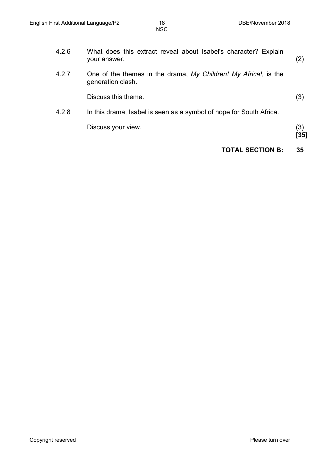|       | <b>TOTAL SECTION B:</b>                                                              | 35          |
|-------|--------------------------------------------------------------------------------------|-------------|
|       | Discuss your view.                                                                   | (3)<br>[35] |
| 4.2.8 | In this drama, Isabel is seen as a symbol of hope for South Africa.                  |             |
|       | Discuss this theme.                                                                  | (3)         |
| 4.2.7 | One of the themes in the drama, My Children! My Africa!, is the<br>generation clash. |             |
| 4.2.6 | What does this extract reveal about Isabel's character? Explain<br>your answer.      | (2)         |
|       |                                                                                      |             |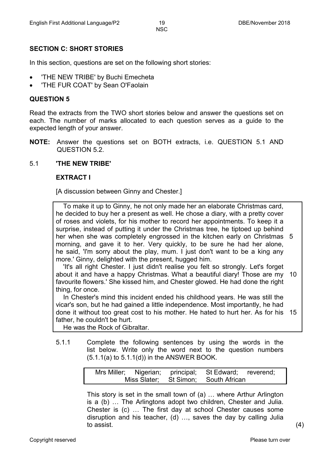# **SECTION C: SHORT STORIES**

In this section, questions are set on the following short stories:

- 'THE NEW TRIBE' by Buchi Emecheta
- 'THE FUR COAT' by Sean O'Faolain

#### **QUESTION 5**

Read the extracts from the TWO short stories below and answer the questions set on each. The number of marks allocated to each question serves as a guide to the expected length of your answer.

**NOTE:** Answer the questions set on BOTH extracts, i.e. QUESTION 5.1 AND QUESTION 5.2.

## 5.1 **'THE NEW TRIBE'**

#### **EXTRACT I**

[A discussion between Ginny and Chester.]

 To make it up to Ginny, he not only made her an elaborate Christmas card, he decided to buy her a present as well. He chose a diary, with a pretty cover of roses and violets, for his mother to record her appointments. To keep it a surprise, instead of putting it under the Christmas tree, he tiptoed up behind her when she was completely engrossed in the kitchen early on Christmas 5 morning, and gave it to her. Very quickly, to be sure he had her alone, he said, 'I'm sorry about the play, mum. I just don't want to be a king any more.' Ginny, delighted with the present, hugged him.

 'It's all right Chester. I just didn't realise you felt so strongly. Let's forget about it and have a happy Christmas. What a beautiful diary! Those are my 10 favourite flowers.' She kissed him, and Chester glowed. He had done the right thing, for once.

 In Chester's mind this incident ended his childhood years. He was still the vicar's son, but he had gained a little independence. Most importantly, he had done it without too great cost to his mother. He hated to hurt her. As for his 15 father, he couldn't be hurt.

He was the Rock of Gibraltar.

5.1.1 Complete the following sentences by using the words in the list below. Write only the word next to the question numbers  $(5.1.1(a)$  to  $5.1.1(d)$ ) in the ANSWER BOOK.

|  | Mrs Miller; Nigerian; principal; St Edward; reverend; |  |
|--|-------------------------------------------------------|--|
|  | Miss Slater; St Simon; South African                  |  |

This story is set in the small town of (a) … where Arthur Arlington is a (b) … The Arlingtons adopt two children, Chester and Julia. Chester is (c) … The first day at school Chester causes some disruption and his teacher, (d) …, saves the day by calling Julia to assist.  $(4)$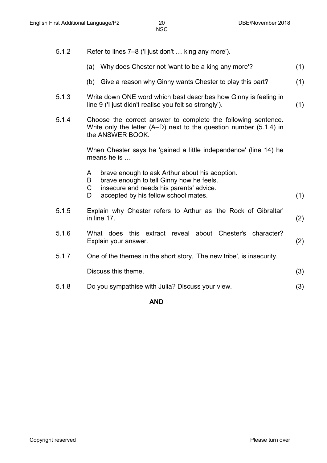- 5.1.2 Refer to lines 7–8 ('I just don't … king any more').
	- (a) Why does Chester not 'want to be a king any more'? (1)
	- (b) Give a reason why Ginny wants Chester to play this part? (1)
- 5.1.3 Write down ONE word which best describes how Ginny is feeling in line 9 ('I just didn't realise you felt so strongly'). (1)
- 5.1.4 Choose the correct answer to complete the following sentence. Write only the letter (A–D) next to the question number (5.1.4) in the ANSWER BOOK.

When Chester says he 'gained a little independence' (line 14) he means he is …

- A brave enough to ask Arthur about his adoption.
- 
- B brave enough to tell Ginny how he feels.<br>C insecure and needs his parents' advice.
- C insecure and needs his parents' advice.<br>D accepted by his fellow school mates. accepted by his fellow school mates. (1)
- 5.1.5 Explain why Chester refers to Arthur as 'the Rock of Gibraltar' in line 17.  $\tag{2}$
- 5.1.6 What does this extract reveal about Chester's character? Explain your answer. (2)
- 5.1.7 One of the themes in the short story, 'The new tribe', is insecurity.

Discuss this theme. (3)

5.1.8 Do you sympathise with Julia? Discuss your view. (3)

#### **AND**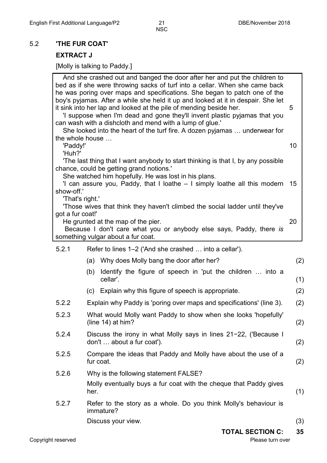## 5.2 **'THE FUR COAT'**

# **EXTRACT J**

[Molly is talking to Paddy.]

| the whole house  | And she crashed out and banged the door after her and put the children to<br>bed as if she were throwing sacks of turf into a cellar. When she came back<br>he was poring over maps and specifications. She began to patch one of the<br>boy's pyjamas. After a while she held it up and looked at it in despair. She let<br>it sink into her lap and looked at the pile of mending beside her.<br>'I suppose when I'm dead and gone they'll invent plastic pyjamas that you<br>can wash with a dishcloth and mend with a lump of glue.'<br>She looked into the heart of the turf fire. A dozen pyjamas  underwear for | 5   |
|------------------|------------------------------------------------------------------------------------------------------------------------------------------------------------------------------------------------------------------------------------------------------------------------------------------------------------------------------------------------------------------------------------------------------------------------------------------------------------------------------------------------------------------------------------------------------------------------------------------------------------------------|-----|
| 'Paddy!'         |                                                                                                                                                                                                                                                                                                                                                                                                                                                                                                                                                                                                                        | 10  |
| 'Huh?'           |                                                                                                                                                                                                                                                                                                                                                                                                                                                                                                                                                                                                                        |     |
|                  | The last thing that I want anybody to start thinking is that I, by any possible<br>chance, could be getting grand notions."                                                                                                                                                                                                                                                                                                                                                                                                                                                                                            |     |
|                  | She watched him hopefully. He was lost in his plans.                                                                                                                                                                                                                                                                                                                                                                                                                                                                                                                                                                   |     |
| show-off.'       | 'I can assure you, Paddy, that I loathe – I simply loathe all this modern                                                                                                                                                                                                                                                                                                                                                                                                                                                                                                                                              | 15  |
| 'That's right.'  |                                                                                                                                                                                                                                                                                                                                                                                                                                                                                                                                                                                                                        |     |
| got a fur coat!" | Those wives that think they haven't climbed the social ladder until they've                                                                                                                                                                                                                                                                                                                                                                                                                                                                                                                                            |     |
|                  | He grunted at the map of the pier.                                                                                                                                                                                                                                                                                                                                                                                                                                                                                                                                                                                     | 20  |
|                  | Because I don't care what you or anybody else says, Paddy, there is<br>something vulgar about a fur coat.                                                                                                                                                                                                                                                                                                                                                                                                                                                                                                              |     |
| 5.2.1            | Refer to lines 1–2 ('And she crashed  into a cellar').                                                                                                                                                                                                                                                                                                                                                                                                                                                                                                                                                                 |     |
|                  | (a) Why does Molly bang the door after her?                                                                                                                                                                                                                                                                                                                                                                                                                                                                                                                                                                            | (2) |
|                  | Identify the figure of speech in 'put the children  into a<br>(b)                                                                                                                                                                                                                                                                                                                                                                                                                                                                                                                                                      |     |
|                  | cellar'.                                                                                                                                                                                                                                                                                                                                                                                                                                                                                                                                                                                                               | (1) |
|                  | (c) Explain why this figure of speech is appropriate.                                                                                                                                                                                                                                                                                                                                                                                                                                                                                                                                                                  | (2) |
| 5.2.2            | Explain why Paddy is 'poring over maps and specifications' (line 3).                                                                                                                                                                                                                                                                                                                                                                                                                                                                                                                                                   | (2) |
| 5.2.3            | What would Molly want Paddy to show when she looks 'hopefully'<br>(line $14$ ) at him?                                                                                                                                                                                                                                                                                                                                                                                                                                                                                                                                 | (2) |
| 5.2.4            | Discuss the irony in what Molly says in lines 21-22, ('Because I<br>don't  about a fur coat').                                                                                                                                                                                                                                                                                                                                                                                                                                                                                                                         | (2) |
| 5.2.5            | Compare the ideas that Paddy and Molly have about the use of a<br>fur coat.                                                                                                                                                                                                                                                                                                                                                                                                                                                                                                                                            | (2) |
| 5.2.6            | Why is the following statement FALSE?                                                                                                                                                                                                                                                                                                                                                                                                                                                                                                                                                                                  |     |
|                  | Molly eventually buys a fur coat with the cheque that Paddy gives<br>her.                                                                                                                                                                                                                                                                                                                                                                                                                                                                                                                                              | (1) |
| 5.2.7            | Refer to the story as a whole. Do you think Molly's behaviour is<br>immature?                                                                                                                                                                                                                                                                                                                                                                                                                                                                                                                                          |     |
|                  | Discuss your view.                                                                                                                                                                                                                                                                                                                                                                                                                                                                                                                                                                                                     | (3) |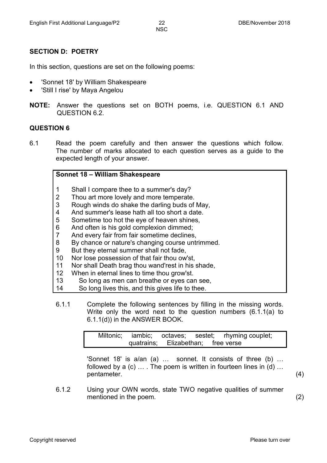## **SECTION D: POETRY**

In this section, questions are set on the following poems:

- 'Sonnet 18' by William Shakespeare
- 'Still I rise' by Maya Angelou
- **NOTE:** Answer the questions set on BOTH poems, i.e. QUESTION 6.1 AND QUESTION 6.2.

#### **QUESTION 6**

6.1 Read the poem carefully and then answer the questions which follow. The number of marks allocated to each question serves as a guide to the expected length of your answer.

#### **Sonnet 18 – William Shakespeare**

- 1 Shall I compare thee to a summer's day?
- 2 Thou art more lovely and more temperate.
- 3 Rough winds do shake the darling buds of May,
- 4 And summer's lease hath all too short a date.
- 5 Sometime too hot the eye of heaven shines,
- 6 And often is his gold complexion dimmed;
- 7 And every fair from fair sometime declines,
- 8 By chance or nature's changing course untrimmed.
- 9 But they eternal summer shall not fade,
- 10 Nor lose possession of that fair thou ow'st,
- 11 Nor shall Death brag thou wand'rest in his shade,
- 12 When in eternal lines to time thou grow'st.
- 13 So long as men can breathe or eyes can see,
- 14 So long lives this, and this gives life to thee.
- 6.1.1 Complete the following sentences by filling in the missing words. Write only the word next to the question numbers (6.1.1(a) to 6.1.1(d)) in the ANSWER BOOK.

|                                    |  | Miltonic; iambic; octaves; sestet; rhyming couplet; |  |
|------------------------------------|--|-----------------------------------------------------|--|
| quatrains; Elizabethan; free verse |  |                                                     |  |

'Sonnet 18' is a/an (a) … sonnet. It consists of three (b) … followed by a (c) ... . The poem is written in fourteen lines in (d) ... pentameter. (4)

6.1.2 Using your OWN words, state TWO negative qualities of summer mentioned in the poem. (2)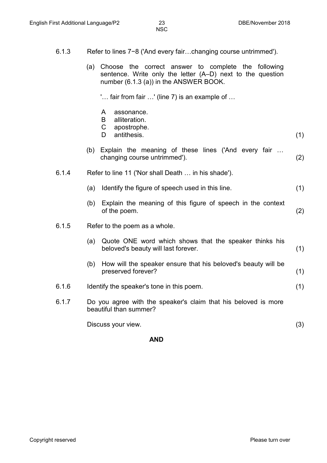- 6.1.3 Refer to lines 7−8 ('And every fair…changing course untrimmed').
	- (a) Choose the correct answer to complete the following sentence. Write only the letter (A–D) next to the question number (6.1.3 (a)) in the ANSWER BOOK.

'… fair from fair …' (line 7) is an example of …

- A assonance.
- B alliteration.
- C apostrophe.
- D antithesis. (1)
- (b) Explain the meaning of these lines ('And every fair … changing course untrimmed'). (2)
- 6.1.4 Refer to line 11 ('Nor shall Death … in his shade').
	- (a) Identify the figure of speech used in this line. (1)
	- (b) Explain the meaning of this figure of speech in the context of the poem. (2)
- 6.1.5 Refer to the poem as a whole.
	- (a) Quote ONE word which shows that the speaker thinks his beloved's beauty will last forever. (1) (b) How will the speaker ensure that his beloved's beauty will be preserved forever? (1)
- 6.1.6 Identify the speaker's tone in this poem. (1)
- 6.1.7 Do you agree with the speaker's claim that his beloved is more beautiful than summer?

Discuss your view. (3)

**AND**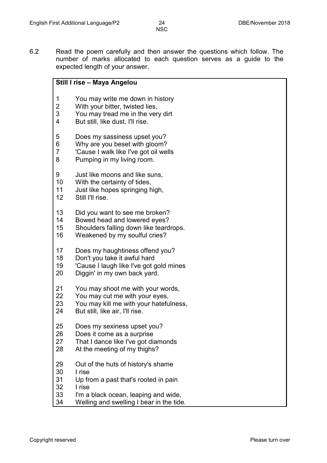6.2 Read the poem carefully and then answer the questions which follow. The number of marks allocated to each question serves as a guide to the expected length of your answer.

| Still I rise - Maya Angelou |                                          |  |  |
|-----------------------------|------------------------------------------|--|--|
| 1                           | You may write me down in history         |  |  |
| $\overline{2}$              | With your bitter, twisted lies,          |  |  |
| 3                           | You may tread me in the very dirt        |  |  |
| 4                           | But still, like dust, I'll rise.         |  |  |
| 5                           | Does my sassiness upset you?             |  |  |
| 6                           | Why are you beset with gloom?            |  |  |
| $\overline{7}$              | 'Cause I walk like I've got oil wells    |  |  |
| 8                           | Pumping in my living room.               |  |  |
| 9                           | Just like moons and like suns,           |  |  |
| 10                          | With the certainty of tides,             |  |  |
| 11                          | Just like hopes springing high,          |  |  |
| 12                          | Still I'll rise.                         |  |  |
| 13                          | Did you want to see me broken?           |  |  |
| 14                          | Bowed head and lowered eyes?             |  |  |
| 15                          | Shoulders falling down like teardrops.   |  |  |
| 16                          | Weakened by my soulful cries?            |  |  |
| 17                          | Does my haughtiness offend you?          |  |  |
| 18                          | Don't you take it awful hard             |  |  |
| 19                          | 'Cause I laugh like I've got gold mines  |  |  |
| 20                          | Diggin' in my own back yard.             |  |  |
| 21                          | You may shoot me with your words,        |  |  |
| 22                          | You may cut me with your eyes,           |  |  |
| 23                          | You may kill me with your hatefulness,   |  |  |
| 24                          | But still, like air, I'll rise.          |  |  |
| 25                          | Does my sexiness upset you?              |  |  |
| 26                          | Does it come as a surprise               |  |  |
| 27                          | That I dance like I've got diamonds      |  |  |
| 28                          | At the meeting of my thighs?             |  |  |
| 29                          | Out of the huts of history's shame       |  |  |
| 30                          | I rise                                   |  |  |
| 31                          | Up from a past that's rooted in pain     |  |  |
| 32                          | I rise                                   |  |  |
| 33                          | I'm a black ocean, leaping and wide,     |  |  |
| 34                          | Welling and swelling I bear in the tide. |  |  |